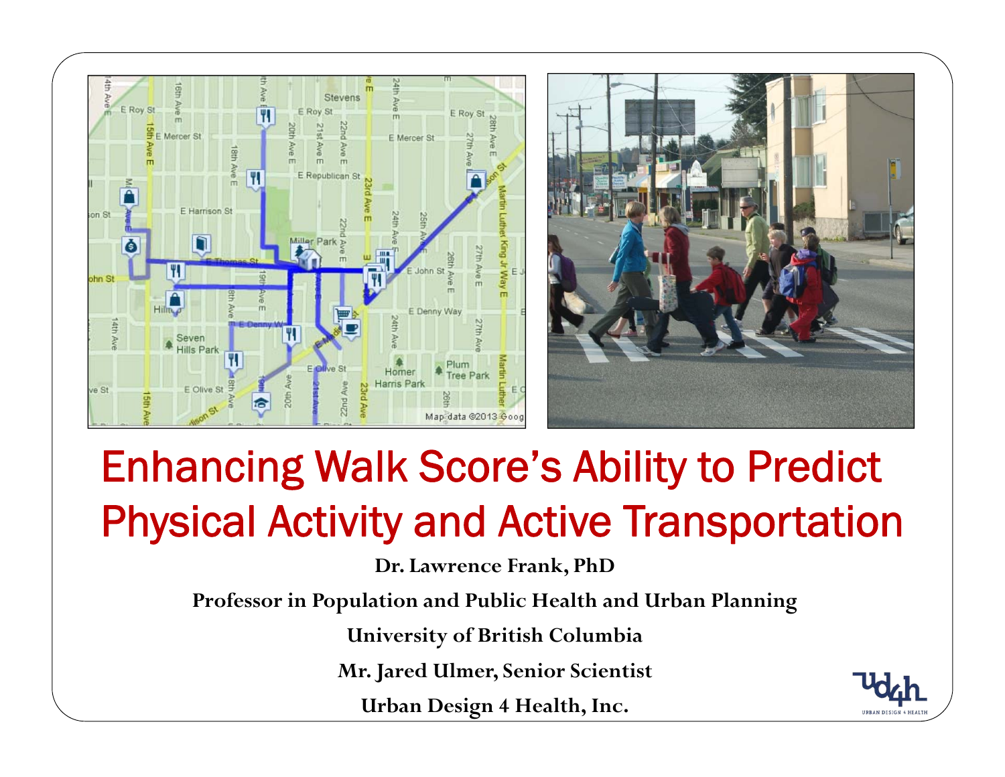

## Enhancing Walk Score's Ability to Predict Physical Activity and Active Transportation

**Dr. Lawrence Frank, PhD**

**Professor in Population and Public Health and Urban Planning**

**University of British Columbia**

**Mr. Jared Ulmer, Senior Scientist**

**Urban Design 4 Health, Inc.**

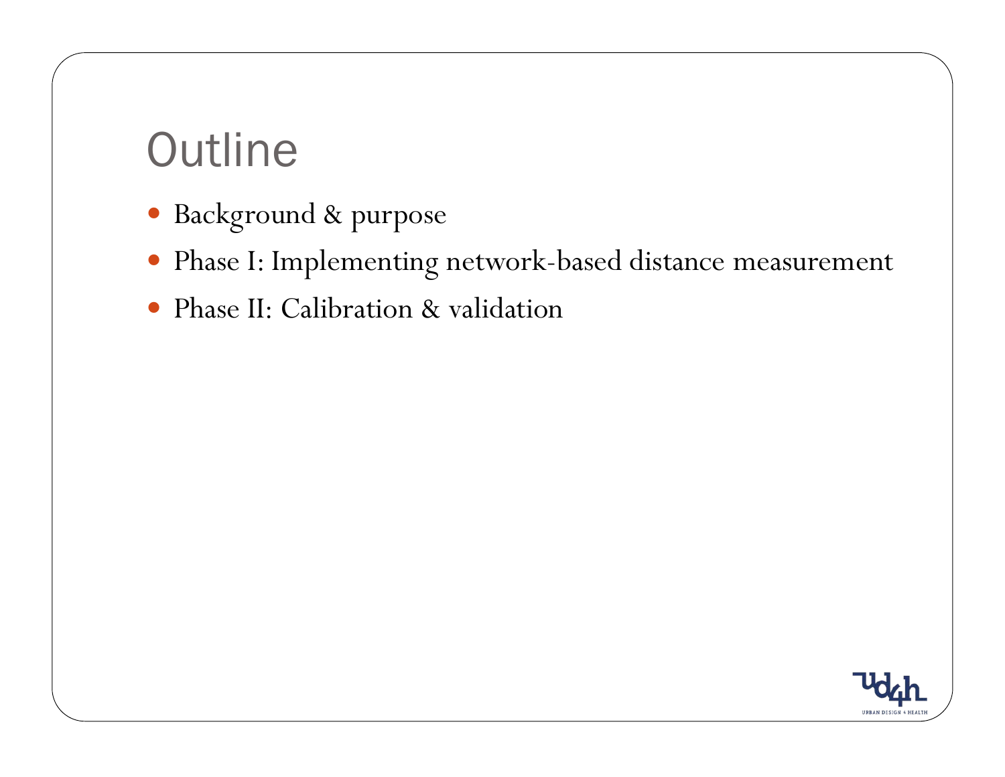## Outline

- · Background & purpose
- y Phase I: Implementing network-based distance measurement
- Phase II: Calibration & validation

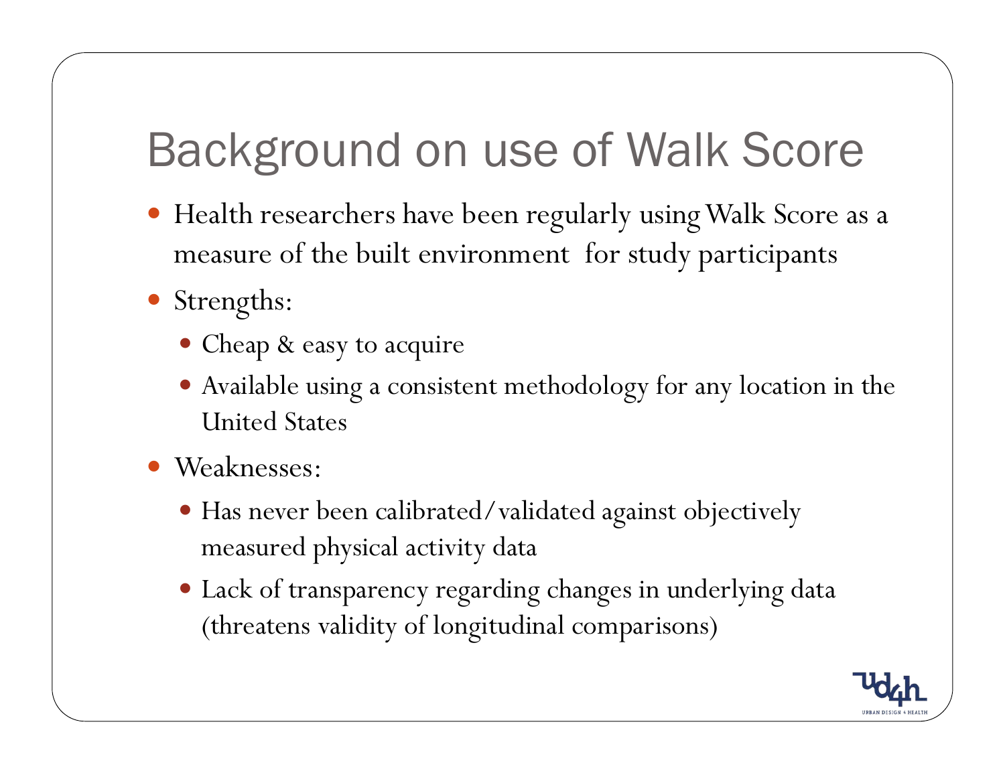# Background on use of Walk Score

- y Health researchers have been regularly using Walk Score as a measure of the built environment for study participants
- Strengths:
	- Cheap & easy to acquire
	- Available using a consistent methodology for any location in the United States
- Weaknesses:
	- y Has never been calibrated/validated against objectively measured physical activity data
	- Lack of transparency regarding changes in underlying data (threatens validity of longitudinal comparisons)

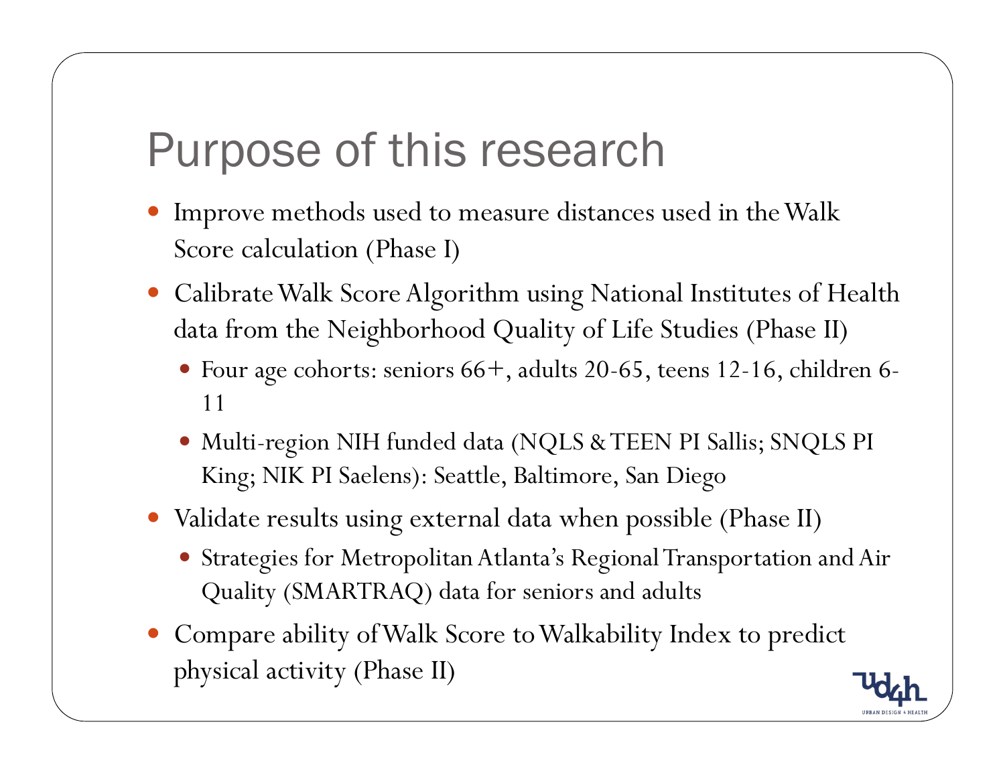### Purpose of this research

- Improve methods used to measure distances used in the Walk Score calculation (Phase I)
- Calibrate Walk Score Algorithm using National Institutes of Health data from the Neighborhood Quality of Life Studies (Phase II)
	- y Four age cohorts: seniors 66+, adults 20-65, teens 12-16, children 6- 11
	- y Multi-region NIH funded data (NQLS & TEEN PI Sallis; SNQLS PI King; NIK PI Saelens): Seattle, Baltimore, San Diego
- Validate results using external data when possible (Phase II)
	- y Strategies for Metropolitan Atlanta's Regional Transportation and Air Quality (SMARTRAQ) data for seniors and adults
- y Compare ability of Walk Score to Walkability Index to predict physical activity (Phase II)

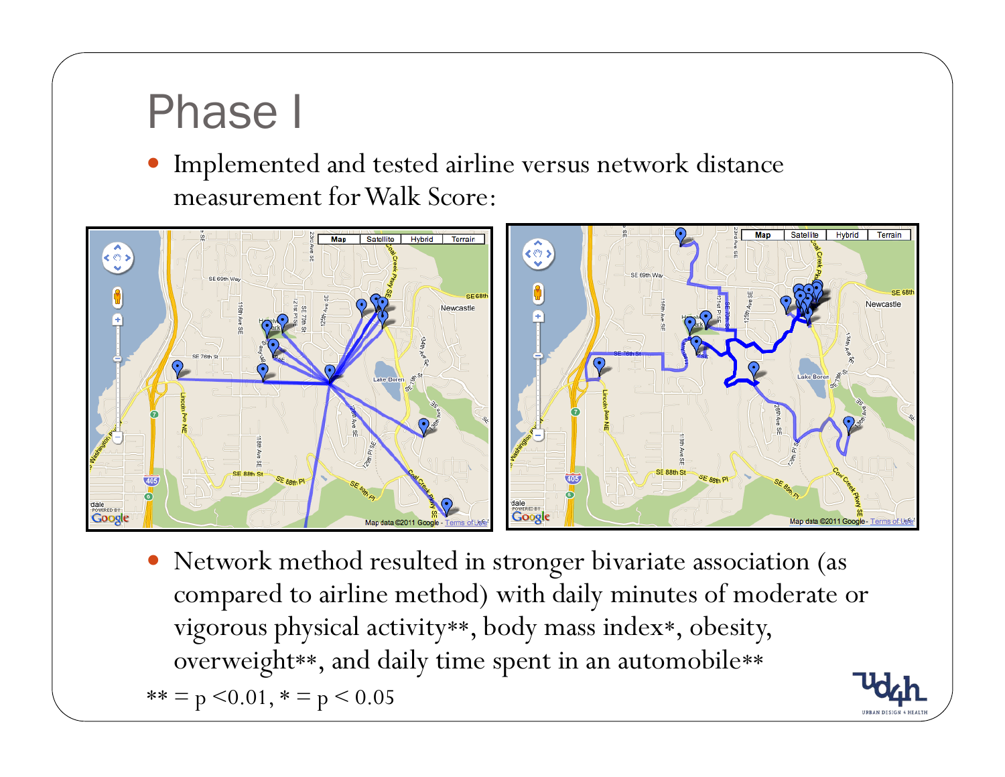### Phase I

 $\bullet$  Implemented and tested airline versus network distance measurement for Walk Score:



• Network method resulted in stronger bivariate association (as compared to airline method) with daily minutes of moderate or vigorous physical activity\*\*, body mass index\*, obesity, overweight\*\*, and daily time spent in an automobile\*\*  $** = p \le 0.01$ ,  $* = p \le 0.05$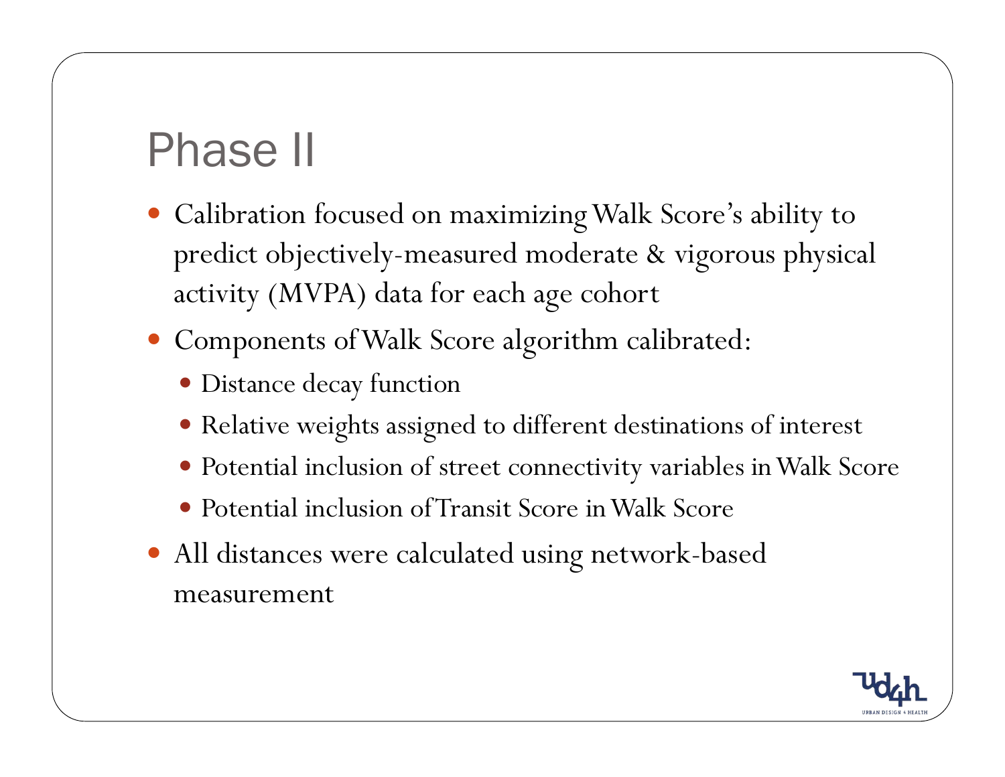# Phase II

- Calibration focused on maximizing Walk Score's ability to predict objectively-measured moderate & vigorous physical activity (MVPA) data for each age cohort
- y Components of Walk Score algorithm calibrated:
	- · Distance decay function
	- Relative weights assigned to different destinations of interest
	- Potential inclusion of street connectivity variables in Walk Score
	- Potential inclusion of Transit Score in Walk Score
- All distances were calculated using network-based measurement

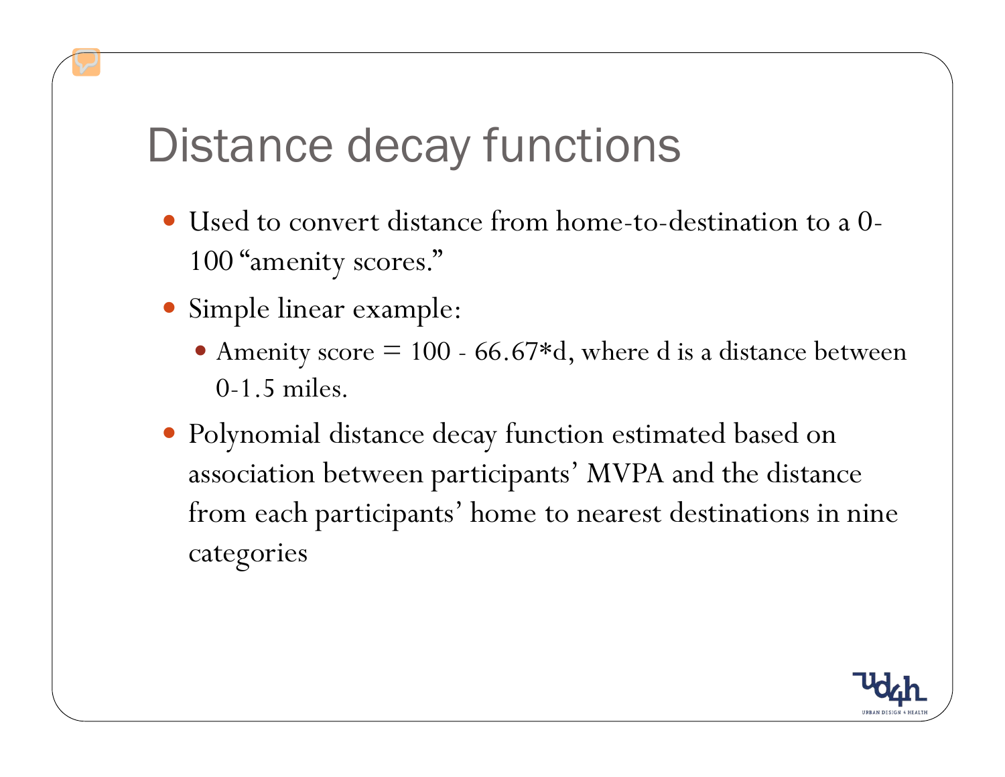### Distance decay functions

- Used to convert distance from home-to-destination to a 0-100 "amenity scores."
- Simple linear example:
	- Amenity score  $= 100$  66.67\*d, where d is a distance between 0-1.5 miles.
- Polynomial distance decay function estimated based on association between participants' MVPA and the distance from each participants' home to nearest destinations in nine categories

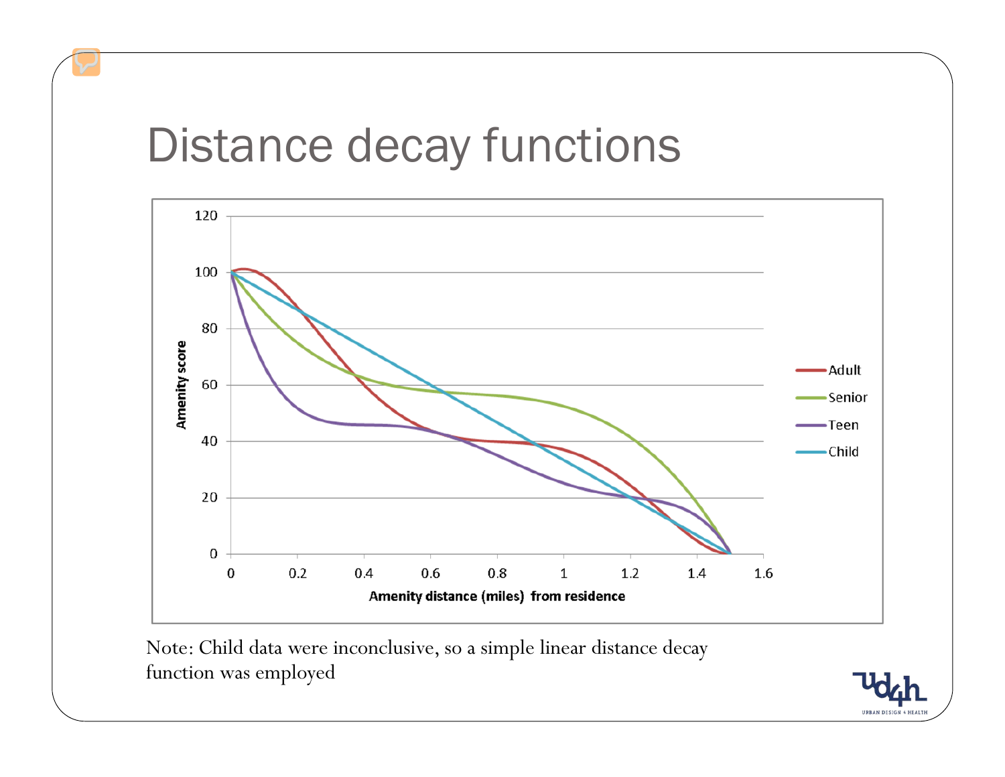### Distance decay functions



Note: Child data were inconclusive, so a simple linear distance decay function was employed

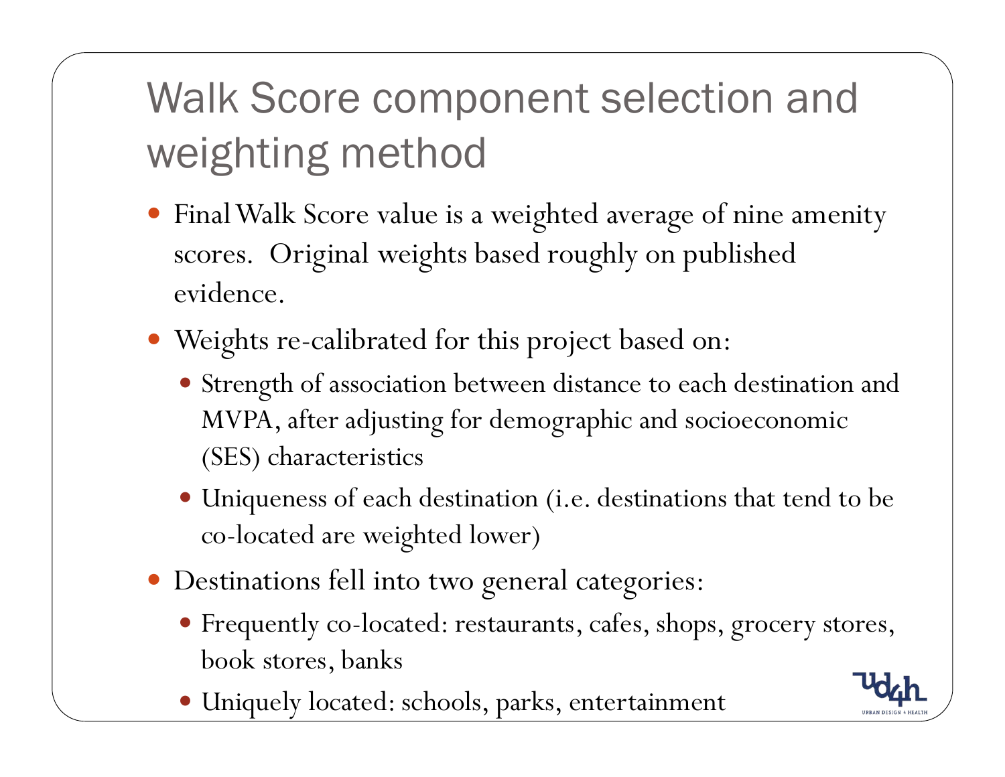# Walk Score component selection and weighting method

- Final Walk Score value is a weighted average of nine amenity scores. Original weights based roughly on published evidence.
- Weights re-calibrated for this project based on:
	- Strength of association between distance to each destination and MVPA, after adjusting for demographic and socioeconomic (SES) characteristics
	- Uniqueness of each destination (i.e. destinations that tend to be co-located are weighted lower)
- $\bullet$  Destinations fell into two general categories:
	- Frequently co-located: restaurants, cafes, shops, grocery stores, book stores, banks
	- Uniquely located: schools, parks, entertainment

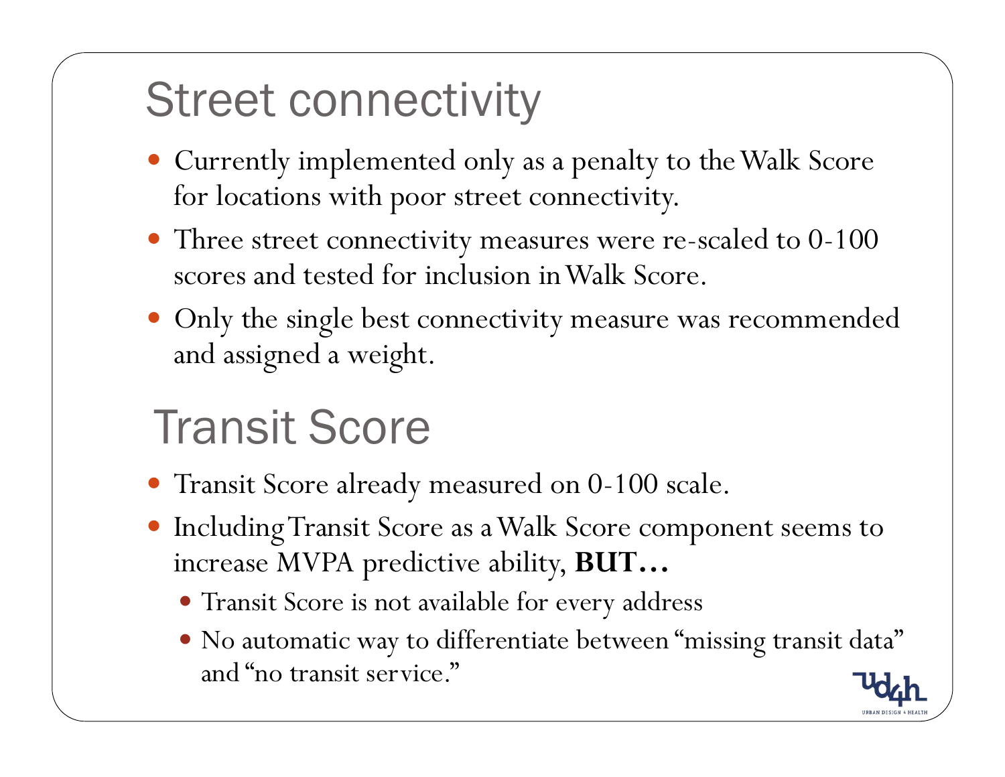## Street connectivity

- Currently implemented only as a penalty to the Walk Score for locations with poor street connectivity.
- Three street connectivity measures were re-scaled to 0-100 scores and tested for inclusion in Walk Score.
- Only the single best connectivity measure was recommended and assigned a weight.

# Transit Score

- y Transit Score already measured on 0-100 scale.
- y Including Transit Score as a Walk Score component seems to increase MVPA predictive ability, **BUT…**
	- Transit Score is not available for every address
	- $\bullet$  No automatic way to differentiate between "missing transit data" and "no transit service."

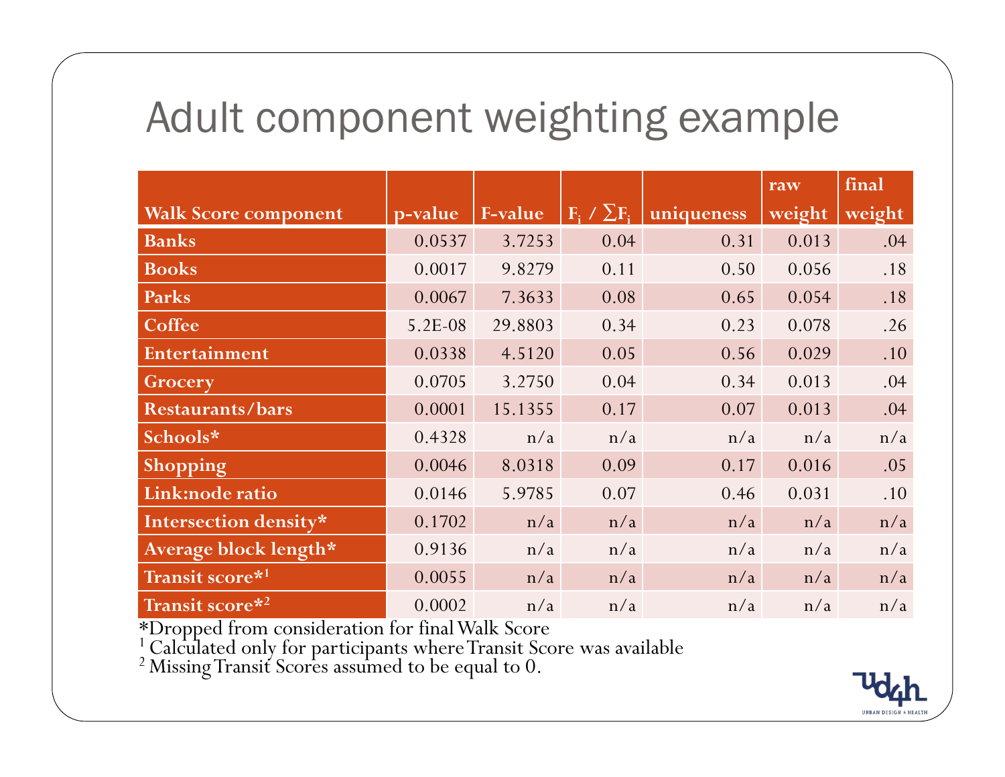#### Adult component weighting example

|                             |         |         |                                       |            | raw    | final  |
|-----------------------------|---------|---------|---------------------------------------|------------|--------|--------|
| <b>Walk Score component</b> | p-value | F-value | $\mathbf{F}_i \neq \sum \mathbf{F}_i$ | uniqueness | weight | weight |
| <b>Banks</b>                | 0.0537  | 3.7253  | 0.04                                  | 0.31       | 0.013  | .04    |
| <b>Books</b>                | 0.0017  | 9.8279  | 0.11                                  | 0.50       | 0.056  | .18    |
| Parks                       | 0.0067  | 7.3633  | 0.08                                  | 0.65       | 0.054  | .18    |
| Coffee                      | 5.2E-08 | 29.8803 | 0.34                                  | 0.23       | 0.078  | .26    |
| Entertainment               | 0.0338  | 4.5120  | 0.05                                  | 0.56       | 0.029  | .10    |
| Grocery                     | 0.0705  | 3.2750  | 0.04                                  | 0.34       | 0.013  | .04    |
| <b>Restaurants/bars</b>     | 0.0001  | 15.1355 | 0.17                                  | 0.07       | 0.013  | .04    |
| Schools*                    | 0.4328  | n/a     | n/a                                   | n/a        | n/a    | n/a    |
| Shopping                    | 0.0046  | 8.0318  | 0.09                                  | 0.17       | 0.016  | .05    |
| Link:node ratio             | 0.0146  | 5.9785  | 0.07                                  | 0.46       | 0.031  | .10    |
| Intersection density*       | 0.1702  | n/a     | n/a                                   | n/a        | n/a    | n/a    |
| Average block length*       | 0.9136  | n/a     | n/a                                   | n/a        | n/a    | n/a    |
| Transit score* <sup>1</sup> | 0.0055  | n/a     | n/a                                   | n/a        | n/a    | n/a    |
| Transit score*2             | 0.0002  | n/a     | n/a                                   | n/a        | n/a    | n/a    |

\*Dropped from consideration for final Walk Score 1 Calculated only for participants where Transit Score was available 2 Missing Transit Scores assumed to be equal to 0.

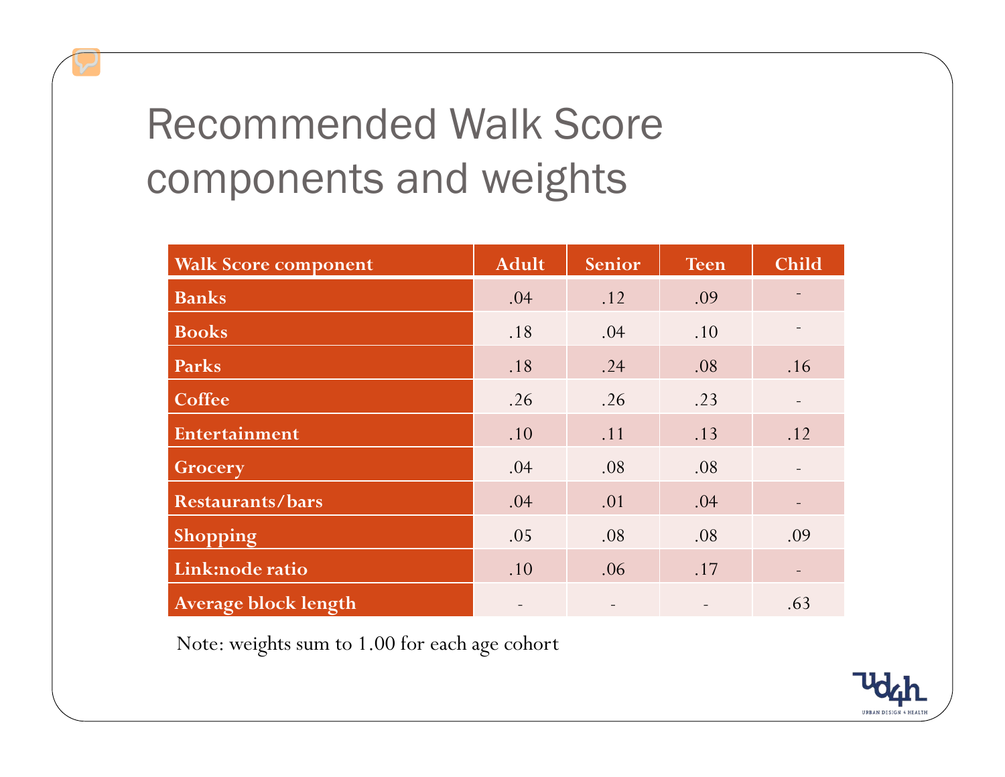## Recommended Walk Score components and weights

| <b>Walk Score component</b> | <b>Adult</b> | Senior | <b>Teen</b> | <b>Child</b>             |
|-----------------------------|--------------|--------|-------------|--------------------------|
| <b>Banks</b>                | .04          | .12    | .09         |                          |
| <b>Books</b>                | .18          | .04    | .10         |                          |
| Parks                       | .18          | .24    | .08         | .16                      |
| <b>Coffee</b>               | .26          | .26    | .23         | $\blacksquare$           |
| Entertainment               | .10          | .11    | .13         | .12                      |
| Grocery                     | .04          | .08    | .08         | $\overline{\phantom{a}}$ |
| <b>Restaurants/bars</b>     | .04          | .01    | .04         | -                        |
| Shopping                    | .05          | .08    | .08         | .09                      |
| Link:node ratio             | .10          | .06    | .17         |                          |
| <b>Average block length</b> |              |        |             | .63                      |

Note: weights sum to 1.00 for each age cohort

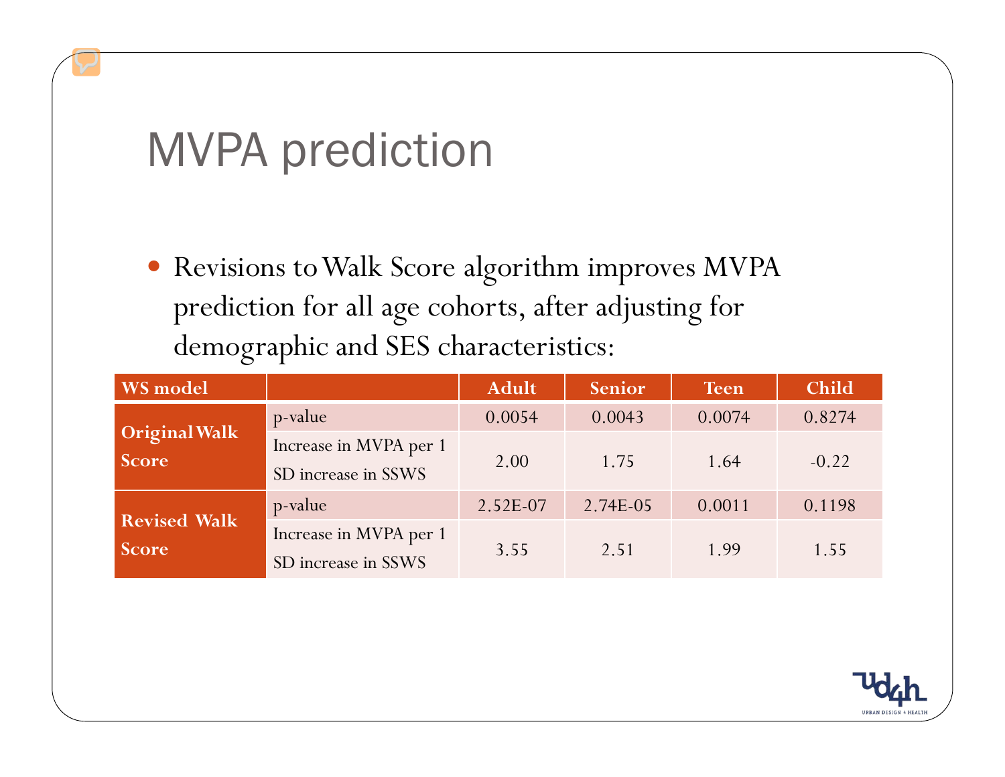## MVPA prediction

• Revisions to Walk Score algorithm improves MVPA prediction for all age cohorts, after adjusting for demographic and SES characteristics:

| WS model                            |                                               | <b>Adult</b> | Senior   | <b>Teen</b> | <b>Child</b> |
|-------------------------------------|-----------------------------------------------|--------------|----------|-------------|--------------|
|                                     | p-value                                       | 0.0054       | 0.0043   | 0.0074      | 0.8274       |
| Original Walk<br>Score              | Increase in MVPA per 1<br>SD increase in SSWS | 2.00         | 1.75     | 1.64        | $-0.22$      |
|                                     | p-value                                       | 2.52E-07     | 2.74E-05 | 0.0011      | 0.1198       |
| <b>Revised Walk</b><br><b>Score</b> | Increase in MVPA per 1<br>SD increase in SSWS | 3.55         | 2.51     | 1.99        | 1.55         |

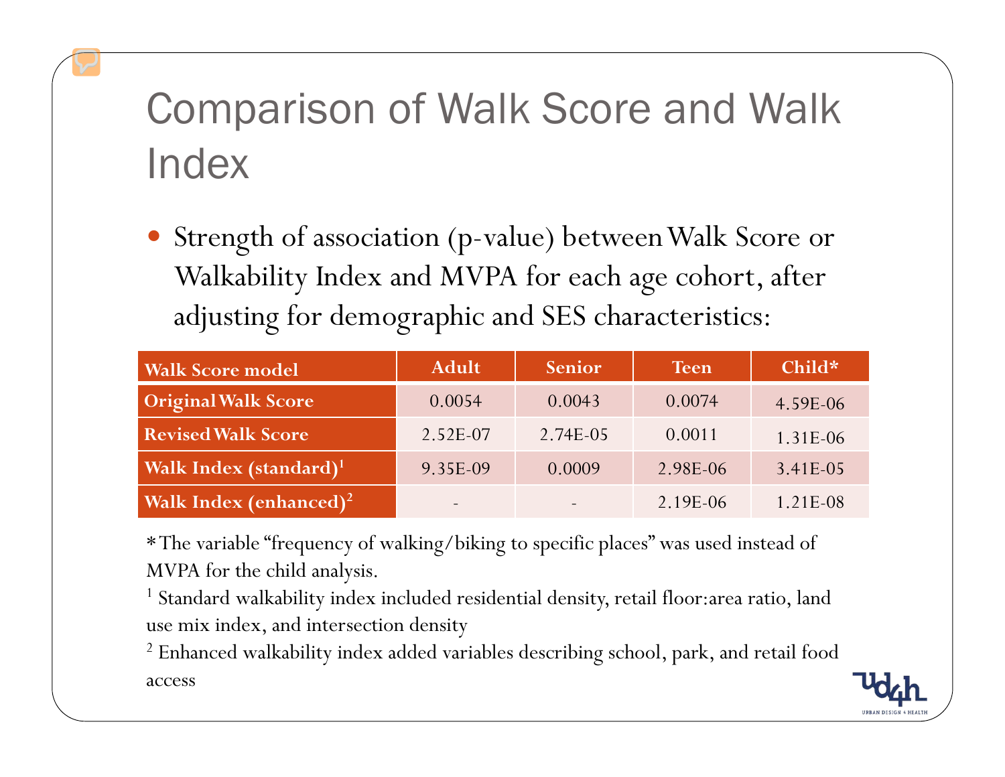## Comparison of Walk Score and Walk Index

y Strength of association (p-value) between Walk Score or Walkability Index and MVPA for each age cohort, after adjusting for demographic and SES characteristics:

| <b>Walk Score model</b>            | <b>Adult</b>             | Senior   | <b>Teen</b> | Child*     |
|------------------------------------|--------------------------|----------|-------------|------------|
| <b>Original Walk Score</b>         | 0.0054                   | 0.0043   | 0.0074      | 4.59E-06   |
| <b>Revised Walk Score</b>          | 2.52E-07                 | 2.74E-05 | 0.0011      | 1.31E-06   |
| Walk Index (standard) <sup>1</sup> | 9.35E-09                 | 0.0009   | 2.98E-06    | $3.41E-05$ |
| Walk Index (enhanced) <sup>2</sup> | $\overline{\phantom{a}}$ |          | 2.19E-06    | $1.21E-08$ |

\* The variable "frequency of walking/biking to specific places" was used instead of MVPA for the child analysis.

<sup>1</sup> Standard walkability index included residential density, retail floor:area ratio, land use mix index, and intersection density

 $^2$  Enhanced walkability index added variables describing school, park, and retail food access

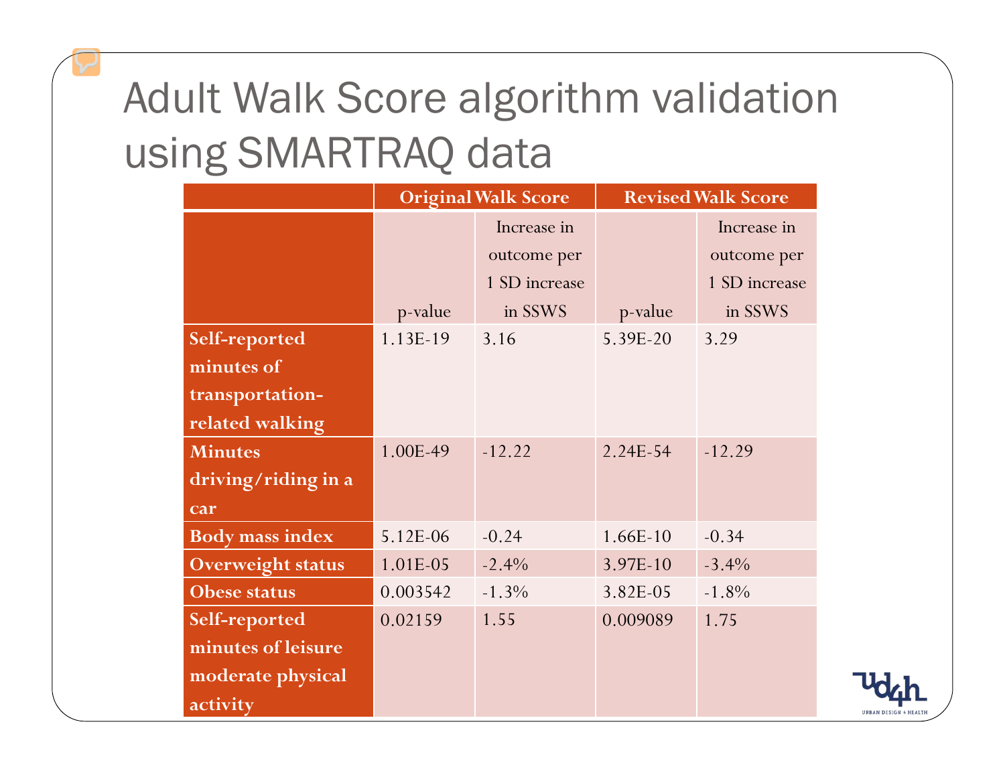## Adult Walk Score algorithm validation using SMARTRAQ data

|                          | <b>Original Walk Score</b> |               | <b>Revised Walk Score</b> |               |  |
|--------------------------|----------------------------|---------------|---------------------------|---------------|--|
|                          |                            | Increase in   |                           | Increase in   |  |
|                          |                            | outcome per   |                           | outcome per   |  |
|                          |                            | 1 SD increase |                           | 1 SD increase |  |
|                          | p-value                    | in SSWS       | p-value                   | in SSWS       |  |
| Self-reported            | 1.13E-19                   | 3.16          | 5.39E-20                  | 3.29          |  |
| minutes of               |                            |               |                           |               |  |
| transportation-          |                            |               |                           |               |  |
| related walking          |                            |               |                           |               |  |
| <b>Minutes</b>           | 1.00E-49                   | $-12.22$      | 2.24E-54                  | $-12.29$      |  |
| driving/riding in a      |                            |               |                           |               |  |
| car                      |                            |               |                           |               |  |
| <b>Body mass index</b>   | 5.12E-06                   | $-0.24$       | 1.66E-10                  | $-0.34$       |  |
| <b>Overweight status</b> | 1.01E-05                   | $-2.4%$       | 3.97E-10                  | $-3.4%$       |  |
| <b>Obese status</b>      | 0.003542                   | $-1.3%$       | 3.82E-05                  | $-1.8%$       |  |
| Self-reported            | 0.02159                    | 1.55          | 0.009089                  | 1.75          |  |
| minutes of leisure       |                            |               |                           |               |  |
| moderate physical        |                            |               |                           |               |  |
| activity                 |                            |               |                           |               |  |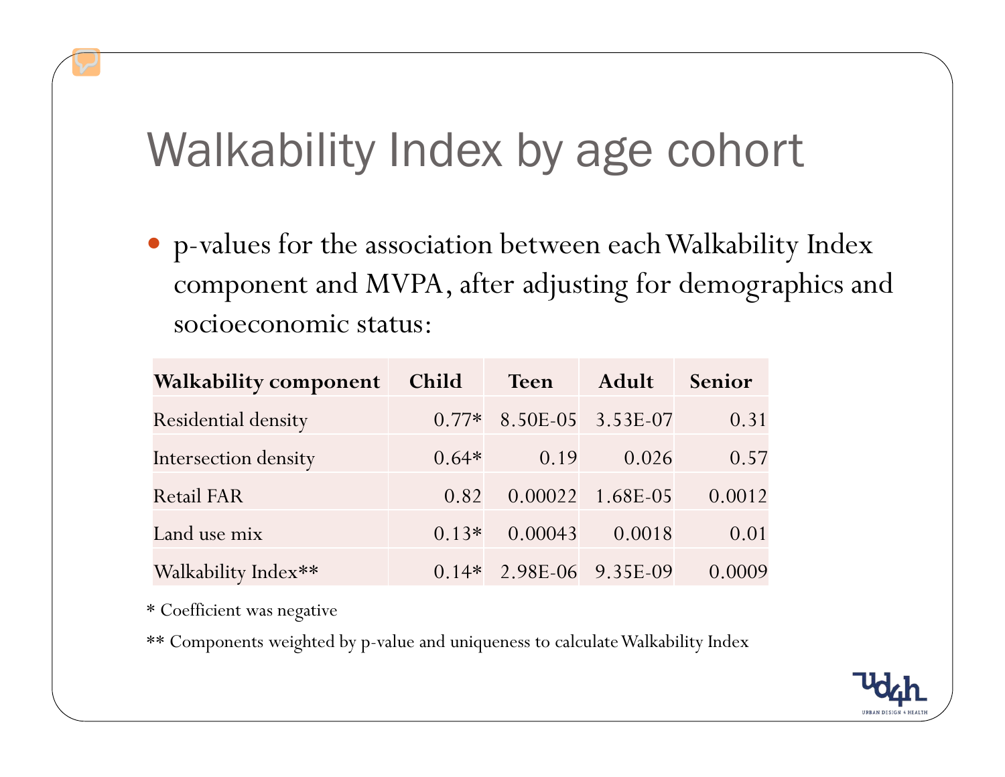# Walkability Index by age cohort

y p-values for the association between each Walkability Index component and MVPA, after adjusting for demographics and socioeconomic status:

| <b>Walkability component</b> | Child   | <b>Teen</b>               | Adult              | Senior |
|------------------------------|---------|---------------------------|--------------------|--------|
| <b>Residential density</b>   |         | $0.77*$ 8.50E-05 3.53E-07 |                    | 0.31   |
| Intersection density         | $0.64*$ | 0.19                      | 0.026              | 0.57   |
| <b>Retail FAR</b>            | 0.82    |                           | $0.00022$ 1.68E-05 | 0.0012 |
| Land use mix                 | $0.13*$ | 0.00043                   | 0.0018             | 0.01   |
| Walkability Index**          |         | $0.14*$ 2.98E-06 9.35E-09 |                    | 0.0009 |

\* Coefficient was negative

\*\* Components weighted by p-value and uniqueness to calculate Walkability Index

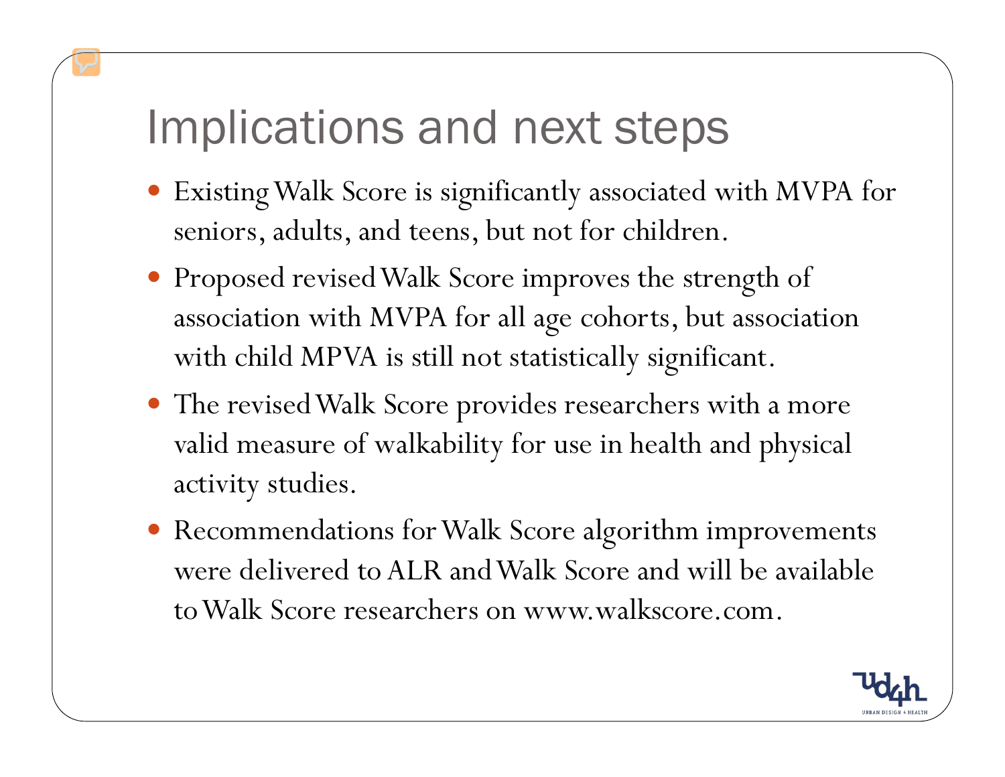### Implications and next steps

- Existing Walk Score is significantly associated with MVPA for seniors, adults, and teens, but not for children.
- Proposed revised Walk Score improves the strength of association with MVPA for all age cohorts, but association with child MPVA is still not statistically significant.
- The revised Walk Score provides researchers with a more valid measure of walkability for use in health and physical activity studies.
- Recommendations for Walk Score algorithm improvements were delivered to ALR and Walk Score and will be available to Walk Score researchers on www.walkscore.com.

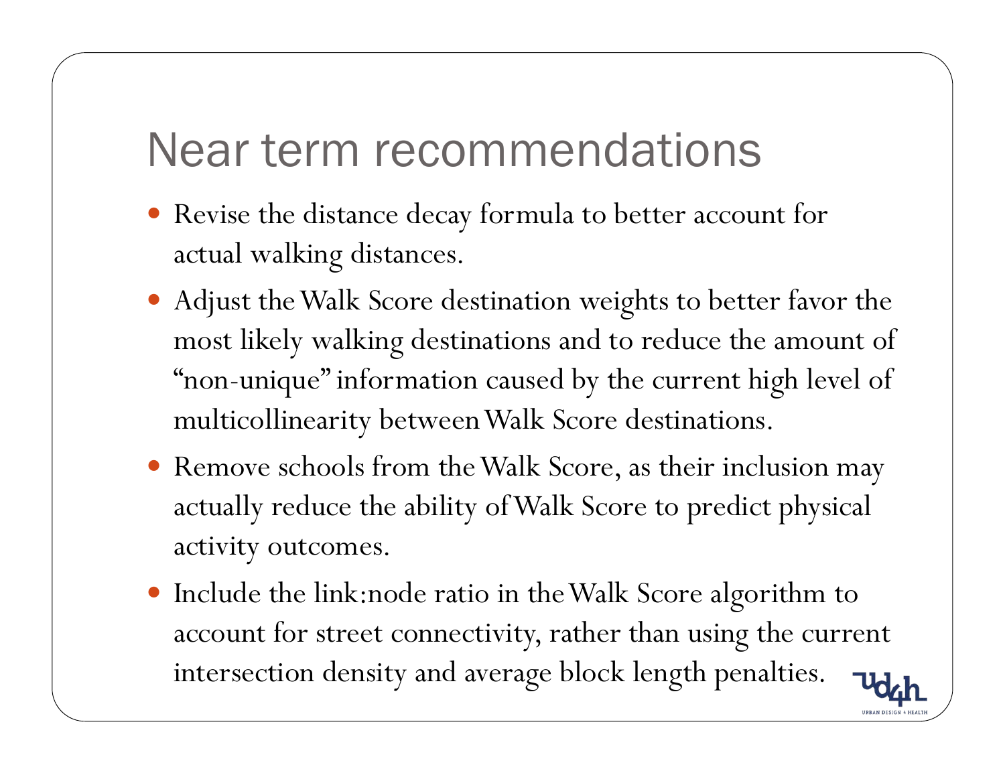### Near term recommendations

- Revise the distance decay formula to better account for actual walking distances.
- Adjust the Walk Score destination weights to better favor the most likely walking destinations and to reduce the amount of "non-unique" information caused by the current high level of multicollinearity between Walk Score destinations.
- Remove schools from the Walk Score, as their inclusion may actually reduce the ability of Walk Score to predict physical activity outcomes.
- y Include the link:node ratio in the Walk Score algorithm to account for street connectivity, rather than using the current intersection density and average block length penalties.